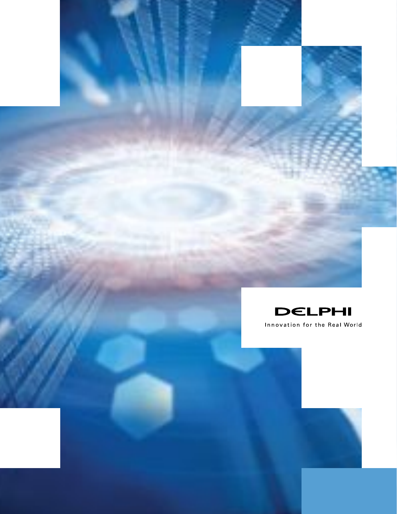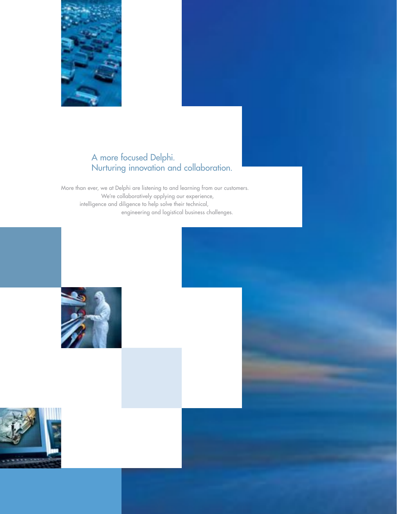

## A more focused Delphi. Nurturing innovation and collaboration.

More than ever, we at Delphi are listening to and learning from our customers. We're collaboratively applying our experience, intelligence and diligence to help solve their technical, engineering and logistical business challenges.



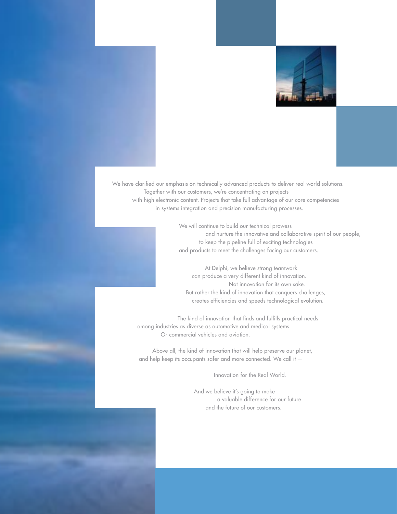

We have clarified our emphasis on technically advanced products to deliver real-world solutions. Together with our customers, we're concentrating on projects with high electronic content. Projects that take full advantage of our core competencies in systems integration and precision manufacturing processes.

> We will continue to build our technical prowess and nurture the innovative and collaborative spirit of our people, to keep the pipeline full of exciting technologies and products to meet the challenges facing our customers.

At Delphi, we believe strong teamwork can produce a very different kind of innovation. Not innovation for its own sake. But rather the kind of innovation that conquers challenges, creates efficiencies and speeds technological evolution.

The kind of innovation that finds and fulfills practical needs among industries as diverse as automotive and medical systems. Or commercial vehicles and aviation.

Above all, the kind of innovation that will help preserve our planet, and help keep its occupants safer and more connected. We call it —

Innovation for the Real World.

And we believe it's going to make a valuable difference for our future and the future of our customers.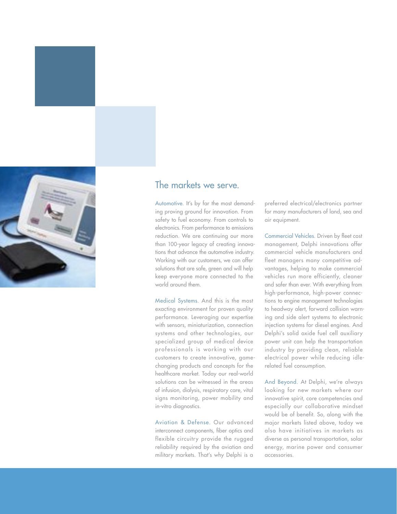

#### The markets we serve.

Automotive. It's by far the most demanding proving ground for innovation. From safety to fuel economy. From controls to electronics. From performance to emissions reduction. We are continuing our more than 100-year legacy of creating innovations that advance the automotive industry. Working with our customers, we can offer solutions that are safe, green and will help keep everyone more connected to the world around them.

Medical Systems. And this is the most exacting environment for proven quality performance. Leveraging our expertise with sensors, miniaturization, connection systems and other technologies, our specialized group of medical device professionals is working with our customers to create innovative, gamechanging products and concepts for the healthcare market. Today our real-world solutions can be witnessed in the areas of infusion, dialysis, respiratory care, vital signs monitoring, power mobility and in-vitro diagnostics.

Aviation & Defense. Our advanced interconnect components, fiber optics and flexible circuitry provide the rugged reliability required by the aviation and military markets. That's why Delphi is a

preferred electrical/electronics partner for many manufacturers of land, sea and air equipment.

Commercial Vehicles. Driven by fleet cost management, Delphi innovations offer commercial vehicle manufacturers and fleet managers many competitive advantages, helping to make commercial vehicles run more efficiently, cleaner and safer than ever. With everything from high-performance, high-power connections to engine management technologies to headway alert, forward collision warning and side alert systems to electronic injection systems for diesel engines. And Delphi's solid oxide fuel cell auxiliary power unit can help the transportation industry by providing clean, reliable electrical power while reducing idlerelated fuel consumption.

And Beyond. At Delphi, we're always looking for new markets where our innovative spirit, core competencies and especially our collaborative mindset would be of benefit. So, along with the major markets listed above, today we also have initiatives in markets as diverse as personal transportation, solar energy, marine power and consumer accessories.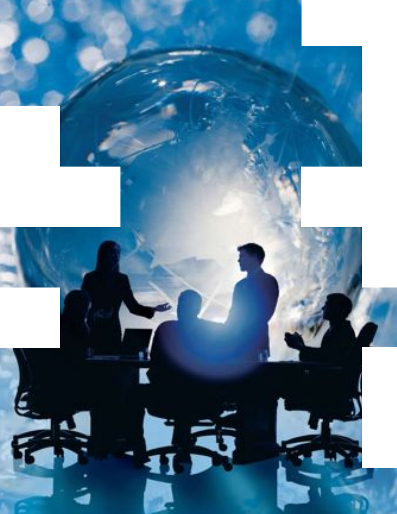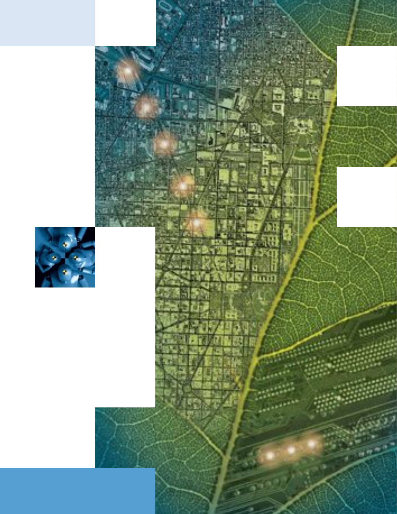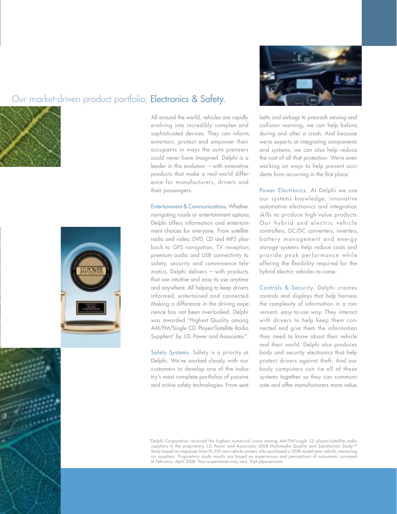## Our market-driven product portfolio: Electronics & Safety.





All around the world, vehicles are rapidly evolving into incredibly complex and sophisticated devices. They can inform, entertain, protect and empower their occupants in ways the auto pioneers could never have imagined. Delphi is a leader in this evolution — with innovative products that make a real-world difference for manufacturers, drivers and their passengers.

Entertainment & Communications. Whether navigating roads or entertainment options, Delphi offers information and entertainment choices for everyone. From satellite radio and video, DVD, CD and MP3 playback to GPS navigation, TV reception, premium audio and USB connectivity to safety, security and convenience telematics, Delphi delivers — with products that are intuitive and easy to use anytime and anywhere. All helping to keep drivers informed, entertained and connected. Making a difference in the driving experience has not been overlooked. Delphi was awarded "Highest Quality among AM/FM/Single CD Player/Satellite Radio Suppliers" by J.D. Power and Associates.\*

Safety Systems. Safety is a priority at Delphi. We've worked closely with our customers to develop one of the industry's most complete portfolios of passive and active safety technologies. From seat



belts and airbags to precrash sensing and collision warning, we can help before, during and after a crash. And because we're experts at integrating components and systems, we can also help reduce the cost of all that protection. We're even working on ways to help prevent accidents from occurring in the first place.

Power Electronics. At Delphi we use our systems knowledge, innovative automotive electronics and integration skills to produce high-value products. Our hybrid and electric vehicle controllers, DC/DC converters, inverters, battery management and energy storage systems help reduce costs and provide peak performance while offering the flexibility required for the hybrid electric vehicles to come.

Controls & Security. Delphi creates controls and displays that help harness the complexity of information in a convenient, easy-to-use way. They interact with drivers to help keep them connected and give them the information they need to know about their vehicle and their world. Delphi also produces body and security electronics that help protect drivers against theft. And our body computers can tie all of these systems together so they can communicate and offer manufacturers more value.

\*Delphi Corporation received the highest numerical score among AM/FM/single CD player/satellite radio suppliers in the proprietary J.D. Power and Associates 2008 Multimedia Quality and Satisfaction Study. SM Study based on responses from 81,530 new-vehicle owners who purchased a 2008 model-year vehicle, measuring six suppliers. Proprietary study results are based on experiences and perceptions of consumers surveyed in February–April 2008. Your experiences may vary. Visit jdpower.com.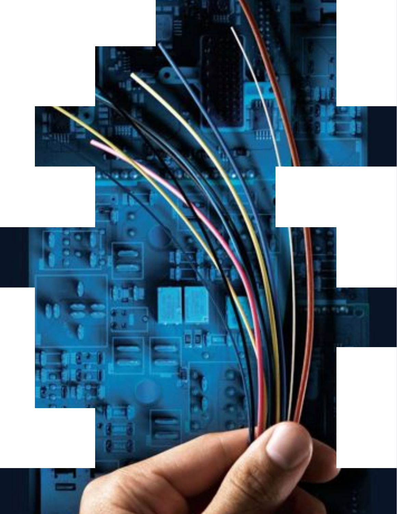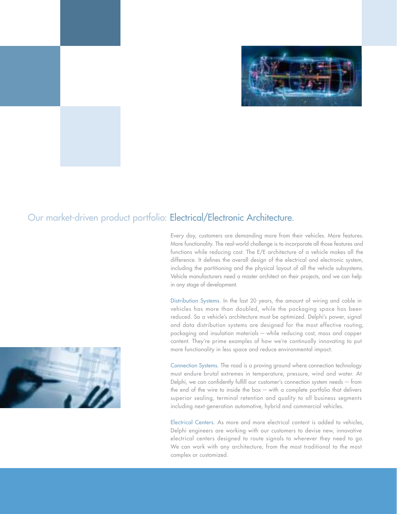

## Our market-driven product portfolio: Electrical/Electronic Architecture.



Distribution Systems. In the last 20 years, the amount of wiring and cable in vehicles has more than doubled, while the packaging space has been reduced. So a vehicle's architecture must be optimized. Delphi's power, signal and data distribution systems are designed for the most effective routing, packaging and insulation materials — while reducing cost, mass and copper content. They're prime examples of how we're continually innovating to put more functionality in less space and reduce environmental impact.

Connection Systems. The road is a proving ground where connection technology must endure brutal extremes in temperature, pressure, wind and water. At Delphi, we can confidently fulfill our customer's connection system needs - from the end of the wire to inside the box — with a complete portfolio that delivers superior sealing, terminal retention and quality to all business segments including next-generation automotive, hybrid and commercial vehicles.

Electrical Centers. As more and more electrical content is added to vehicles, Delphi engineers are working with our customers to devise new, innovative electrical centers designed to route signals to wherever they need to go. We can work with any architecture, from the most traditional to the most complex or customized.

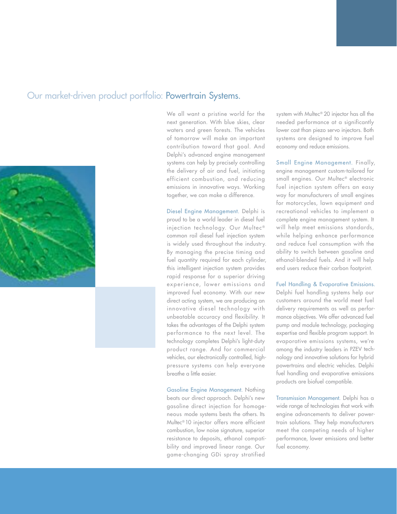## Our market-driven product portfolio: Powertrain Systems.



We all want a pristine world for the next generation. With blue skies, clear waters and green forests. The vehicles of tomorrow will make an important contribution toward that goal. And Delphi's advanced engine management systems can help by precisely controlling the delivery of air and fuel, initiating efficient combustion, and reducing emissions in innovative ways. Working together, we can make a difference.

Diesel Engine Management. Delphi is proud to be a world leader in diesel fuel injection technology. Our Multec<sup>®</sup> common rail diesel fuel injection system is widely used throughout the industry. By managing the precise timing and fuel quantity required for each cylinder, this intelligent injection system provides rapid response for a superior driving experience, lower emissions and improved fuel economy. With our new direct acting system, we are producing an innovative diesel technology with unbeatable accuracy and flexibility. It takes the advantages of the Delphi system performance to the next level. The technology completes Delphi's light-duty product range. And for commercial vehicles, our electronically controlled, highpressure systems can help everyone breathe a little easier.

Gasoline Engine Management. Nothing beats our direct approach. Delphi's new gasoline direct injection for homogeneous mode systems bests the others. Its Multec® 10 injector offers more efficient combustion, low noise signature, superior resistance to deposits, ethanol compatibility and improved linear range. Our game-changing GDi spray stratified

system with Multec® 20 injector has all the needed performance at a significantly lower cost than piezo servo injectors. Both systems are designed to improve fuel economy and reduce emissions.

Small Engine Management. Finally, engine management custom-tailored for small engines. Our Multec® electronic fuel injection system offers an easy way for manufacturers of small engines for motorcycles, lawn equipment and recreational vehicles to implement a complete engine management system. It will help meet emissions standards, while helping enhance performance and reduce fuel consumption with the ability to switch between gasoline and ethanol-blended fuels. And it will help end users reduce their carbon footprint.

Fuel Handling & Evaporative Emissions. Delphi fuel handling systems help our customers around the world meet fuel delivery requirements as well as performance objectives. We offer advanced fuel pump and module technology, packaging expertise and flexible program support. In evaporative emissions systems, we're among the industry leaders in PZEV technology and innovative solutions for hybrid powertrains and electric vehicles. Delphi fuel handling and evaporative emissions products are biofuel compatible.

Transmission Management. Delphi has a wide range of technologies that work with engine advancements to deliver powertrain solutions. They help manufacturers meet the competing needs of higher performance, lower emissions and better fuel economy.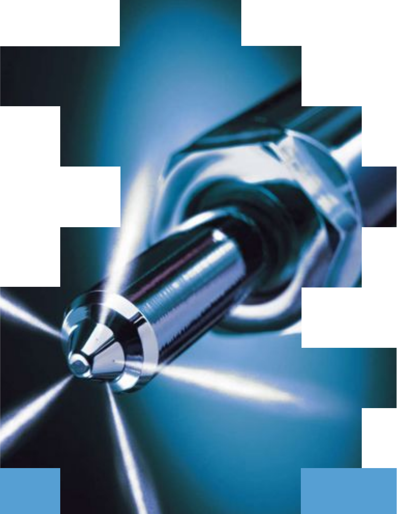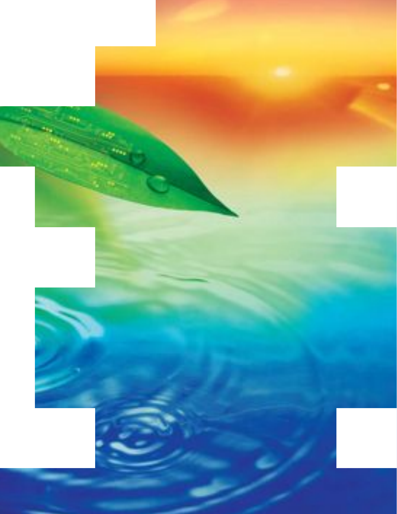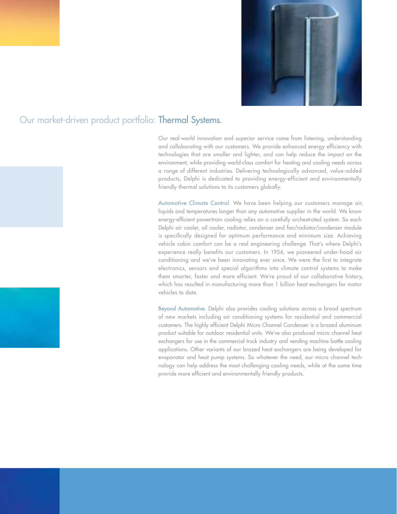

## Our market-driven product portfolio: Thermal Systems.

Our real-world innovation and superior service come from listening, understanding and collaborating with our customers. We provide enhanced energy efficiency with technologies that are smaller and lighter, and can help reduce the impact on the environment, while providing world-class comfort for heating and cooling needs across a range of different industries. Delivering technologically advanced, value-added products, Delphi is dedicated to providing energy-efficient and environmentally friendly thermal solutions to its customers globally.

Automotive Climate Control. We have been helping our customers manage air, liquids and temperatures longer than any automotive supplier in the world. We know energy-efficient powertrain cooling relies on a carefully orchestrated system. So each Delphi air cooler, oil cooler, radiator, condenser and fan/radiator/condenser module is specifically designed for optimum performance and minimum size. Achieving vehicle cabin comfort can be a real engineering challenge. That's where Delphi's experience really benefits our customers. In 1954, we pioneered under-hood air conditioning and we've been innovating ever since. We were the first to integrate electronics, sensors and special algorithms into climate control systems to make them smarter, faster and more efficient. We're proud of our collaborative history, which has resulted in manufacturing more than 1 billion heat exchangers for motor vehicles to date.

Beyond Automotive. Delphi also provides cooling solutions across a broad spectrum of new markets including air conditioning systems for residential and commercial customers. The highly efficient Delphi Micro Channel Condenser is a brazed aluminum product suitable for outdoor residential units. We've also produced micro channel heat exchangers for use in the commercial truck industry and vending machine bottle cooling applications. Other variants of our brazed heat exchangers are being developed for evaporator and heat pump systems. So whatever the need, our micro channel technology can help address the most challenging cooling needs, while at the same time provide more efficient and environmentally friendly products.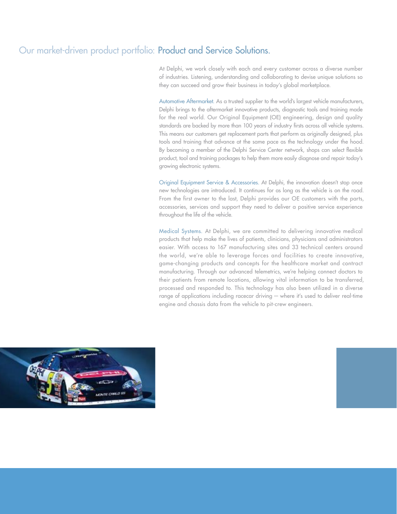## Our market-driven product portfolio: Product and Service Solutions.

At Delphi, we work closely with each and every customer across a diverse number of industries. Listening, understanding and collaborating to devise unique solutions so they can succeed and grow their business in today's global marketplace.

Automotive Aftermarket. As a trusted supplier to the world's largest vehicle manufacturers, Delphi brings to the aftermarket innovative products, diagnostic tools and training made for the real world. Our Original Equipment (OE) engineering, design and quality standards are backed by more than 100 years of industry firsts across all vehicle systems. This means our customers get replacement parts that perform as originally designed, plus tools and training that advance at the same pace as the technology under the hood. By becoming a member of the Delphi Service Center network, shops can select flexible product, tool and training packages to help them more easily diagnose and repair today's growing electronic systems.

Original Equipment Service & Accessories. At Delphi, the innovation doesn't stop once new technologies are introduced. It continues for as long as the vehicle is on the road. From the first owner to the last, Delphi provides our OE customers with the parts, accessories, services and support they need to deliver a positive service experience throughout the life of the vehicle.

Medical Systems. At Delphi, we are committed to delivering innovative medical products that help make the lives of patients, clinicians, physicians and administrators easier. With access to 167 manufacturing sites and 33 technical centers around the world, we're able to leverage forces and facilities to create innovative, game-changing products and concepts for the healthcare market and contract manufacturing. Through our advanced telemetrics, we're helping connect doctors to their patients from remote locations, allowing vital information to be transferred, processed and responded to. This technology has also been utilized in a diverse range of applications including racecar driving — where it's used to deliver real-time engine and chassis data from the vehicle to pit-crew engineers.

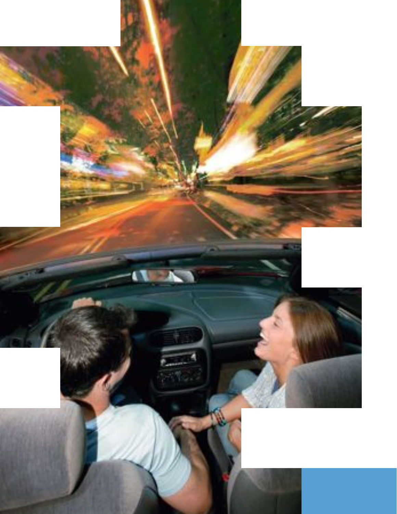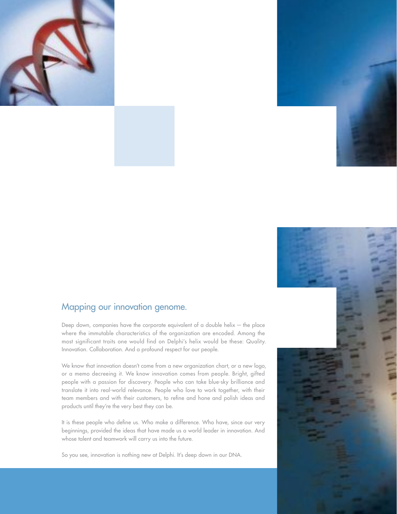





## Mapping our innovation genome.

Deep down, companies have the corporate equivalent of a double helix  $-$  the place where the immutable characteristics of the organization are encoded. Among the most significant traits one would find on Delphi's helix would be these: Quality. Innovation. Collaboration. And a profound respect for our people.

We know that innovation doesn't come from a new organization chart, or a new logo, or a memo decreeing it. We know innovation comes from people. Bright, gifted people with a passion for discovery. People who can take blue-sky brilliance and translate it into real-world relevance. People who love to work together, with their team members and with their customers, to refine and hone and polish ideas and products until they're the very best they can be.

It is these people who define us. Who make a difference. Who have, since our very beginnings, provided the ideas that have made us a world leader in innovation. And whose talent and teamwork will carry us into the future.

So you see, innovation is nothing new at Delphi. It's deep down in our DNA.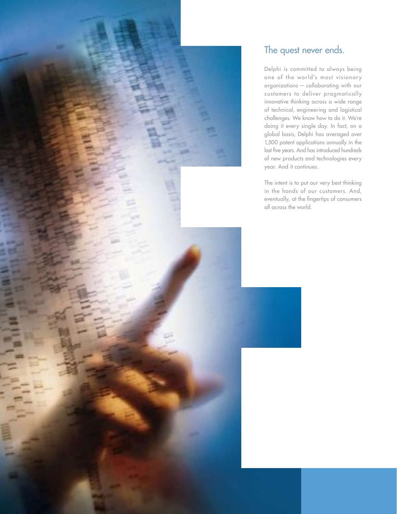

## The quest never ends.

Delphi is committed to always being one of the world's most visionary organizations — collaborating with our customers to deliver pragmatically innovative thinking across a wide range of technical, engineering and logistical challenges. We know how to do it. We're doing it every single day. In fact, on a global basis, Delphi has averaged over 1,500 patent applications annually in the last five years. And has introduced hundreds of new products and technologies every year. And it continues.

The intent is to put our very best thinking in the hands of our customers. And, eventually, at the fingertips of consumers all across the world.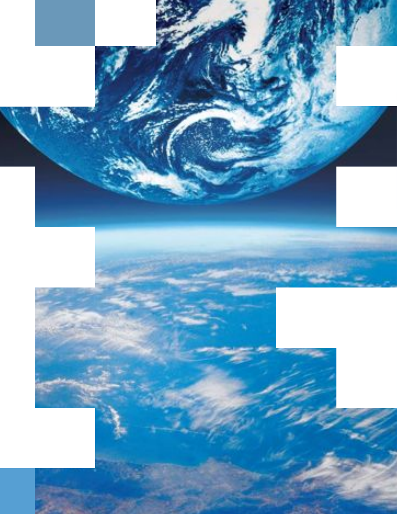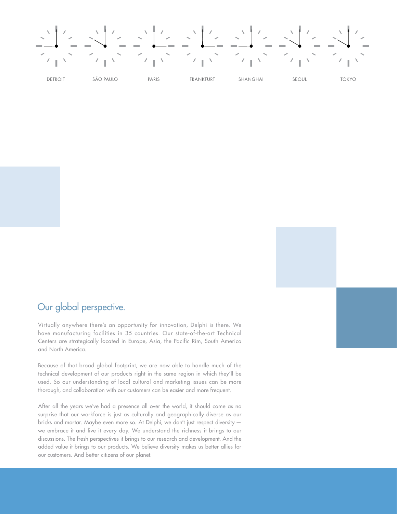

## Our global perspective.

Virtually anywhere there's an opportunity for innovation, Delphi is there. We have manufacturing facilities in 35 countries. Our state-of-the-art Technical Centers are strategically located in Europe, Asia, the Pacific Rim, South America and North America.

Because of that broad global footprint, we are now able to handle much of the technical development of our products right in the same region in which they'll be used. So our understanding of local cultural and marketing issues can be more thorough, and collaboration with our customers can be easier and more frequent.

After all the years we've had a presence all over the world, it should come as no surprise that our workforce is just as culturally and geographically diverse as our bricks and mortar. Maybe even more so. At Delphi, we don't just respect diversity we embrace it and live it every day. We understand the richness it brings to our discussions. The fresh perspectives it brings to our research and development. And the added value it brings to our products. We believe diversity makes us better allies for our customers. And better citizens of our planet.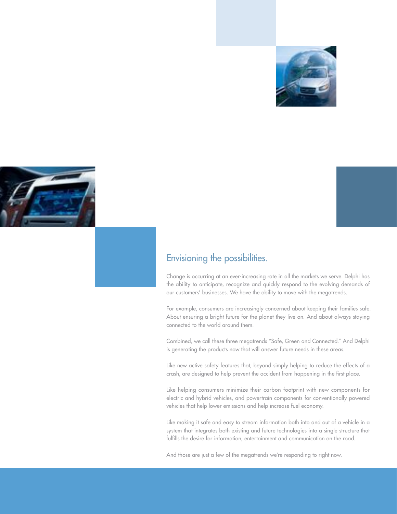



## Envisioning the possibilities.

Change is occurring at an ever-increasing rate in all the markets we serve. Delphi has the ability to anticipate, recognize and quickly respond to the evolving demands of our customers' businesses. We have the ability to move with the megatrends.

For example, consumers are increasingly concerned about keeping their families safe. About ensuring a bright future for the planet they live on. And about always staying connected to the world around them.

Combined, we call these three megatrends "Safe, Green and Connected." And Delphi is generating the products now that will answer future needs in these areas.

Like new active safety features that, beyond simply helping to reduce the effects of a crash, are designed to help prevent the accident from happening in the first place.

Like helping consumers minimize their carbon footprint with new components for electric and hybrid vehicles, and powertrain components for conventionally powered vehicles that help lower emissions and help increase fuel economy.

Like making it safe and easy to stream information both into and out of a vehicle in a system that integrates both existing and future technologies into a single structure that fulfills the desire for information, entertainment and communication on the road.

And those are just a few of the megatrends we're responding to right now.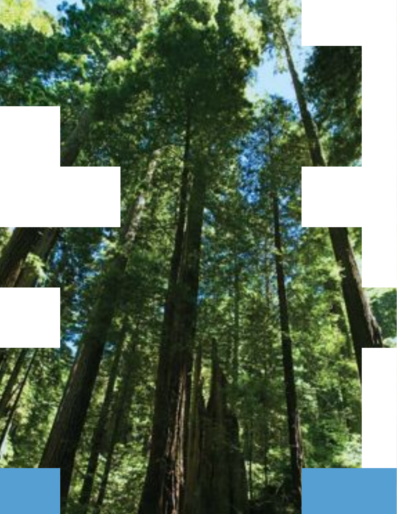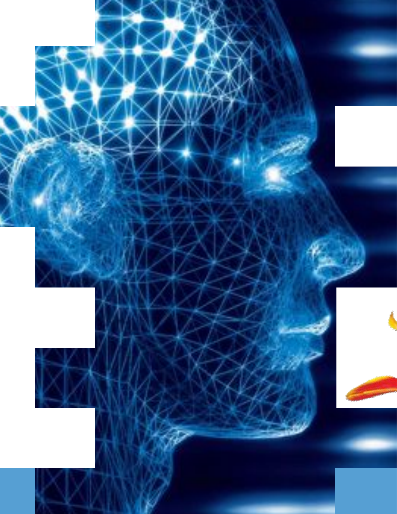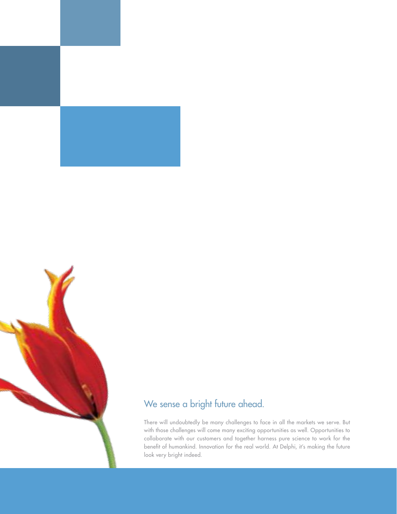

## We sense a bright future ahead.

There will undoubtedly be many challenges to face in all the markets we serve. But with those challenges will come many exciting opportunities as well. Opportunities to collaborate with our customers and together harness pure science to work for the benefit of humankind. Innovation for the real world. At Delphi, it's making the future look very bright indeed.